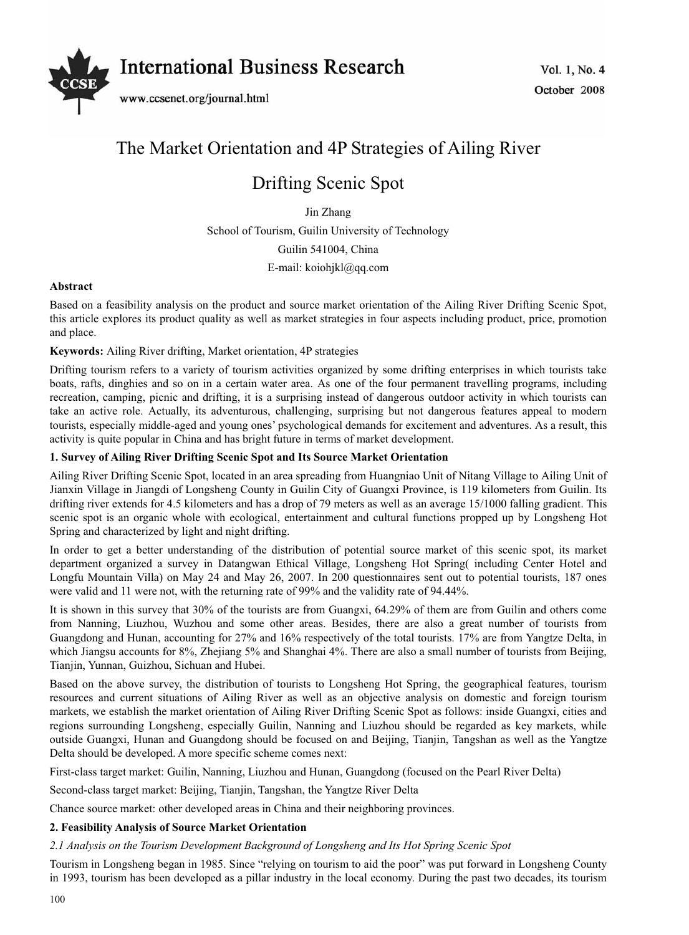

# The Market Orientation and 4P Strategies of Ailing River

# Drifting Scenic Spot

Jin Zhang

School of Tourism, Guilin University of Technology

Guilin 541004, China

E-mail: koiohjkl@qq.com

# **Abstract**

Based on a feasibility analysis on the product and source market orientation of the Ailing River Drifting Scenic Spot, this article explores its product quality as well as market strategies in four aspects including product, price, promotion and place.

# **Keywords:** Ailing River drifting, Market orientation, 4P strategies

Drifting tourism refers to a variety of tourism activities organized by some drifting enterprises in which tourists take boats, rafts, dinghies and so on in a certain water area. As one of the four permanent travelling programs, including recreation, camping, picnic and drifting, it is a surprising instead of dangerous outdoor activity in which tourists can take an active role. Actually, its adventurous, challenging, surprising but not dangerous features appeal to modern tourists, especially middle-aged and young ones' psychological demands for excitement and adventures. As a result, this activity is quite popular in China and has bright future in terms of market development.

## **1. Survey of Ailing River Drifting Scenic Spot and Its Source Market Orientation**

Ailing River Drifting Scenic Spot, located in an area spreading from Huangniao Unit of Nitang Village to Ailing Unit of Jianxin Village in Jiangdi of Longsheng County in Guilin City of Guangxi Province, is 119 kilometers from Guilin. Its drifting river extends for 4.5 kilometers and has a drop of 79 meters as well as an average 15/1000 falling gradient. This scenic spot is an organic whole with ecological, entertainment and cultural functions propped up by Longsheng Hot Spring and characterized by light and night drifting.

In order to get a better understanding of the distribution of potential source market of this scenic spot, its market department organized a survey in Datangwan Ethical Village, Longsheng Hot Spring( including Center Hotel and Longfu Mountain Villa) on May 24 and May 26, 2007. In 200 questionnaires sent out to potential tourists, 187 ones were valid and 11 were not, with the returning rate of 99% and the validity rate of 94.44%.

It is shown in this survey that 30% of the tourists are from Guangxi, 64.29% of them are from Guilin and others come from Nanning, Liuzhou, Wuzhou and some other areas. Besides, there are also a great number of tourists from Guangdong and Hunan, accounting for 27% and 16% respectively of the total tourists. 17% are from Yangtze Delta, in which Jiangsu accounts for 8%, Zhejiang 5% and Shanghai 4%. There are also a small number of tourists from Beijing, Tianjin, Yunnan, Guizhou, Sichuan and Hubei.

Based on the above survey, the distribution of tourists to Longsheng Hot Spring, the geographical features, tourism resources and current situations of Ailing River as well as an objective analysis on domestic and foreign tourism markets, we establish the market orientation of Ailing River Drifting Scenic Spot as follows: inside Guangxi, cities and regions surrounding Longsheng, especially Guilin, Nanning and Liuzhou should be regarded as key markets, while outside Guangxi, Hunan and Guangdong should be focused on and Beijing, Tianjin, Tangshan as well as the Yangtze Delta should be developed. A more specific scheme comes next:

First-class target market: Guilin, Nanning, Liuzhou and Hunan, Guangdong (focused on the Pearl River Delta)

Second-class target market: Beijing, Tianjin, Tangshan, the Yangtze River Delta

Chance source market: other developed areas in China and their neighboring provinces.

# **2. Feasibility Analysis of Source Market Orientation**

# *2.1 Analysis on the Tourism Development Background of Longsheng and Its Hot Spring Scenic Spot*

Tourism in Longsheng began in 1985. Since "relying on tourism to aid the poor" was put forward in Longsheng County in 1993, tourism has been developed as a pillar industry in the local economy. During the past two decades, its tourism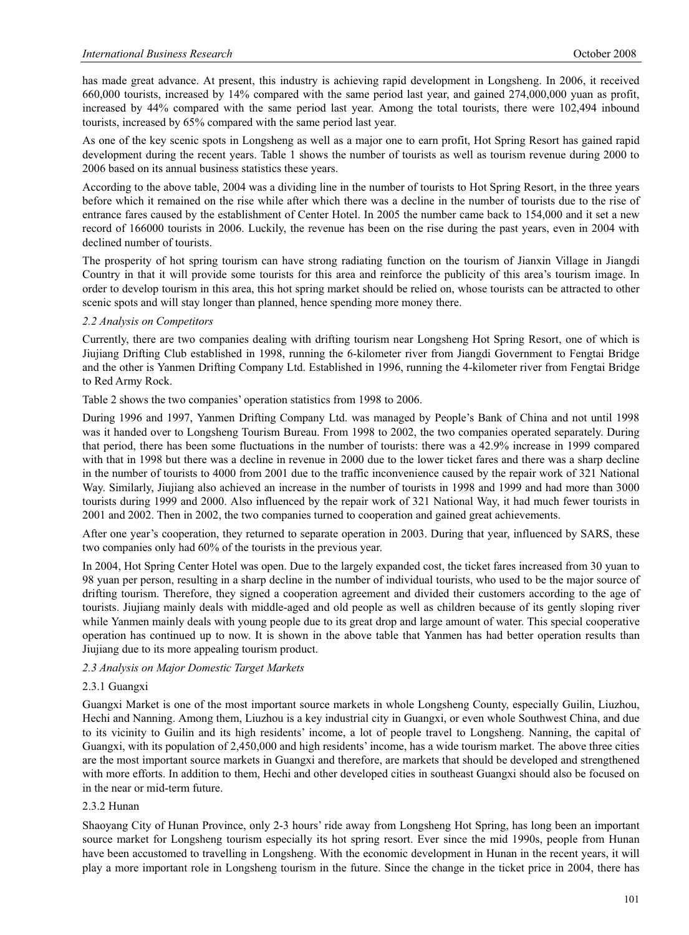has made great advance. At present, this industry is achieving rapid development in Longsheng. In 2006, it received 660,000 tourists, increased by 14% compared with the same period last year, and gained 274,000,000 yuan as profit, increased by 44% compared with the same period last year. Among the total tourists, there were 102,494 inbound tourists, increased by 65% compared with the same period last year.

As one of the key scenic spots in Longsheng as well as a major one to earn profit, Hot Spring Resort has gained rapid development during the recent years. Table 1 shows the number of tourists as well as tourism revenue during 2000 to 2006 based on its annual business statistics these years.

According to the above table, 2004 was a dividing line in the number of tourists to Hot Spring Resort, in the three years before which it remained on the rise while after which there was a decline in the number of tourists due to the rise of entrance fares caused by the establishment of Center Hotel. In 2005 the number came back to 154,000 and it set a new record of 166000 tourists in 2006. Luckily, the revenue has been on the rise during the past years, even in 2004 with declined number of tourists.

The prosperity of hot spring tourism can have strong radiating function on the tourism of Jianxin Village in Jiangdi Country in that it will provide some tourists for this area and reinforce the publicity of this area's tourism image. In order to develop tourism in this area, this hot spring market should be relied on, whose tourists can be attracted to other scenic spots and will stay longer than planned, hence spending more money there.

## *2.2 Analysis on Competitors*

Currently, there are two companies dealing with drifting tourism near Longsheng Hot Spring Resort, one of which is Jiujiang Drifting Club established in 1998, running the 6-kilometer river from Jiangdi Government to Fengtai Bridge and the other is Yanmen Drifting Company Ltd. Established in 1996, running the 4-kilometer river from Fengtai Bridge to Red Army Rock.

Table 2 shows the two companies' operation statistics from 1998 to 2006.

During 1996 and 1997, Yanmen Drifting Company Ltd. was managed by People's Bank of China and not until 1998 was it handed over to Longsheng Tourism Bureau. From 1998 to 2002, the two companies operated separately. During that period, there has been some fluctuations in the number of tourists: there was a 42.9% increase in 1999 compared with that in 1998 but there was a decline in revenue in 2000 due to the lower ticket fares and there was a sharp decline in the number of tourists to 4000 from 2001 due to the traffic inconvenience caused by the repair work of 321 National Way. Similarly, Jiujiang also achieved an increase in the number of tourists in 1998 and 1999 and had more than 3000 tourists during 1999 and 2000. Also influenced by the repair work of 321 National Way, it had much fewer tourists in 2001 and 2002. Then in 2002, the two companies turned to cooperation and gained great achievements.

After one year's cooperation, they returned to separate operation in 2003. During that year, influenced by SARS, these two companies only had 60% of the tourists in the previous year.

In 2004, Hot Spring Center Hotel was open. Due to the largely expanded cost, the ticket fares increased from 30 yuan to 98 yuan per person, resulting in a sharp decline in the number of individual tourists, who used to be the major source of drifting tourism. Therefore, they signed a cooperation agreement and divided their customers according to the age of tourists. Jiujiang mainly deals with middle-aged and old people as well as children because of its gently sloping river while Yanmen mainly deals with young people due to its great drop and large amount of water. This special cooperative operation has continued up to now. It is shown in the above table that Yanmen has had better operation results than Jiujiang due to its more appealing tourism product.

# *2.3 Analysis on Major Domestic Target Markets*

#### 2.3.1 Guangxi

Guangxi Market is one of the most important source markets in whole Longsheng County, especially Guilin, Liuzhou, Hechi and Nanning. Among them, Liuzhou is a key industrial city in Guangxi, or even whole Southwest China, and due to its vicinity to Guilin and its high residents' income, a lot of people travel to Longsheng. Nanning, the capital of Guangxi, with its population of 2,450,000 and high residents' income, has a wide tourism market. The above three cities are the most important source markets in Guangxi and therefore, are markets that should be developed and strengthened with more efforts. In addition to them, Hechi and other developed cities in southeast Guangxi should also be focused on in the near or mid-term future.

#### 2.3.2 Hunan

Shaoyang City of Hunan Province, only 2-3 hours' ride away from Longsheng Hot Spring, has long been an important source market for Longsheng tourism especially its hot spring resort. Ever since the mid 1990s, people from Hunan have been accustomed to travelling in Longsheng. With the economic development in Hunan in the recent years, it will play a more important role in Longsheng tourism in the future. Since the change in the ticket price in 2004, there has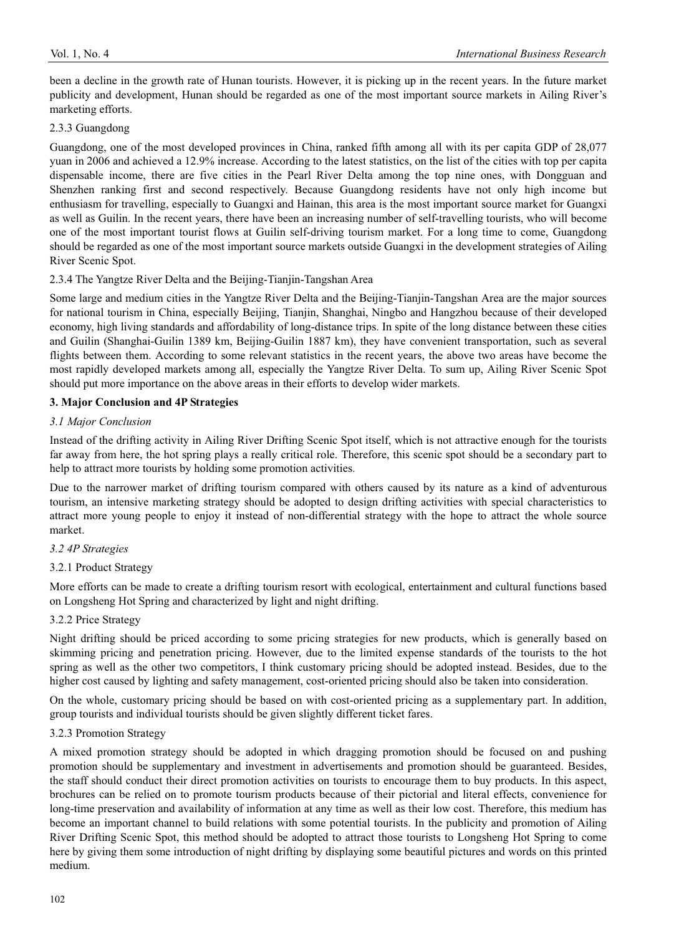been a decline in the growth rate of Hunan tourists. However, it is picking up in the recent years. In the future market publicity and development, Hunan should be regarded as one of the most important source markets in Ailing River's marketing efforts.

#### 2.3.3 Guangdong

Guangdong, one of the most developed provinces in China, ranked fifth among all with its per capita GDP of 28,077 yuan in 2006 and achieved a 12.9% increase. According to the latest statistics, on the list of the cities with top per capita dispensable income, there are five cities in the Pearl River Delta among the top nine ones, with Dongguan and Shenzhen ranking first and second respectively. Because Guangdong residents have not only high income but enthusiasm for travelling, especially to Guangxi and Hainan, this area is the most important source market for Guangxi as well as Guilin. In the recent years, there have been an increasing number of self-travelling tourists, who will become one of the most important tourist flows at Guilin self-driving tourism market. For a long time to come, Guangdong should be regarded as one of the most important source markets outside Guangxi in the development strategies of Ailing River Scenic Spot.

## 2.3.4 The Yangtze River Delta and the Beijing-Tianjin-Tangshan Area

Some large and medium cities in the Yangtze River Delta and the Beijing-Tianjin-Tangshan Area are the major sources for national tourism in China, especially Beijing, Tianjin, Shanghai, Ningbo and Hangzhou because of their developed economy, high living standards and affordability of long-distance trips. In spite of the long distance between these cities and Guilin (Shanghai-Guilin 1389 km, Beijing-Guilin 1887 km), they have convenient transportation, such as several flights between them. According to some relevant statistics in the recent years, the above two areas have become the most rapidly developed markets among all, especially the Yangtze River Delta. To sum up, Ailing River Scenic Spot should put more importance on the above areas in their efforts to develop wider markets.

## **3. Major Conclusion and 4P Strategies**

## *3.1 Major Conclusion*

Instead of the drifting activity in Ailing River Drifting Scenic Spot itself, which is not attractive enough for the tourists far away from here, the hot spring plays a really critical role. Therefore, this scenic spot should be a secondary part to help to attract more tourists by holding some promotion activities.

Due to the narrower market of drifting tourism compared with others caused by its nature as a kind of adventurous tourism, an intensive marketing strategy should be adopted to design drifting activities with special characteristics to attract more young people to enjoy it instead of non-differential strategy with the hope to attract the whole source market.

# *3.2 4P Strategies*

# 3.2.1 Product Strategy

More efforts can be made to create a drifting tourism resort with ecological, entertainment and cultural functions based on Longsheng Hot Spring and characterized by light and night drifting.

#### 3.2.2 Price Strategy

Night drifting should be priced according to some pricing strategies for new products, which is generally based on skimming pricing and penetration pricing. However, due to the limited expense standards of the tourists to the hot spring as well as the other two competitors, I think customary pricing should be adopted instead. Besides, due to the higher cost caused by lighting and safety management, cost-oriented pricing should also be taken into consideration.

On the whole, customary pricing should be based on with cost-oriented pricing as a supplementary part. In addition, group tourists and individual tourists should be given slightly different ticket fares.

#### 3.2.3 Promotion Strategy

A mixed promotion strategy should be adopted in which dragging promotion should be focused on and pushing promotion should be supplementary and investment in advertisements and promotion should be guaranteed. Besides, the staff should conduct their direct promotion activities on tourists to encourage them to buy products. In this aspect, brochures can be relied on to promote tourism products because of their pictorial and literal effects, convenience for long-time preservation and availability of information at any time as well as their low cost. Therefore, this medium has become an important channel to build relations with some potential tourists. In the publicity and promotion of Ailing River Drifting Scenic Spot, this method should be adopted to attract those tourists to Longsheng Hot Spring to come here by giving them some introduction of night drifting by displaying some beautiful pictures and words on this printed medium.